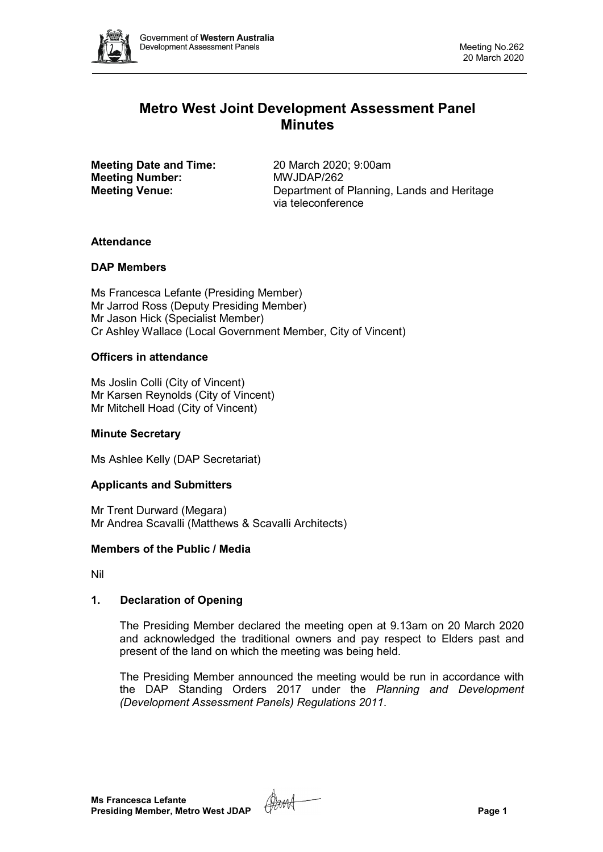

# **Metro West Joint Development Assessment Panel Minutes**

**Meeting Date and Time:** 20 March 2020; 9:00am<br> **Meeting Number:** MWJDAP/262 **Meeting Number:** 

**Meeting Venue:** Department of Planning, Lands and Heritage via teleconference

# **Attendance**

# **DAP Members**

Ms Francesca Lefante (Presiding Member) Mr Jarrod Ross (Deputy Presiding Member) Mr Jason Hick (Specialist Member) Cr Ashley Wallace (Local Government Member, City of Vincent)

# **Officers in attendance**

Ms Joslin Colli (City of Vincent) Mr Karsen Reynolds (City of Vincent) Mr Mitchell Hoad (City of Vincent)

# **Minute Secretary**

Ms Ashlee Kelly (DAP Secretariat)

# **Applicants and Submitters**

Mr Trent Durward (Megara) Mr Andrea Scavalli (Matthews & Scavalli Architects)

# **Members of the Public / Media**

Nil

# **1. Declaration of Opening**

The Presiding Member declared the meeting open at 9.13am on 20 March 2020 and acknowledged the traditional owners and pay respect to Elders past and present of the land on which the meeting was being held.

The Presiding Member announced the meeting would be run in accordance with the DAP Standing Orders 2017 under the *Planning and Development (Development Assessment Panels) Regulations 2011*.

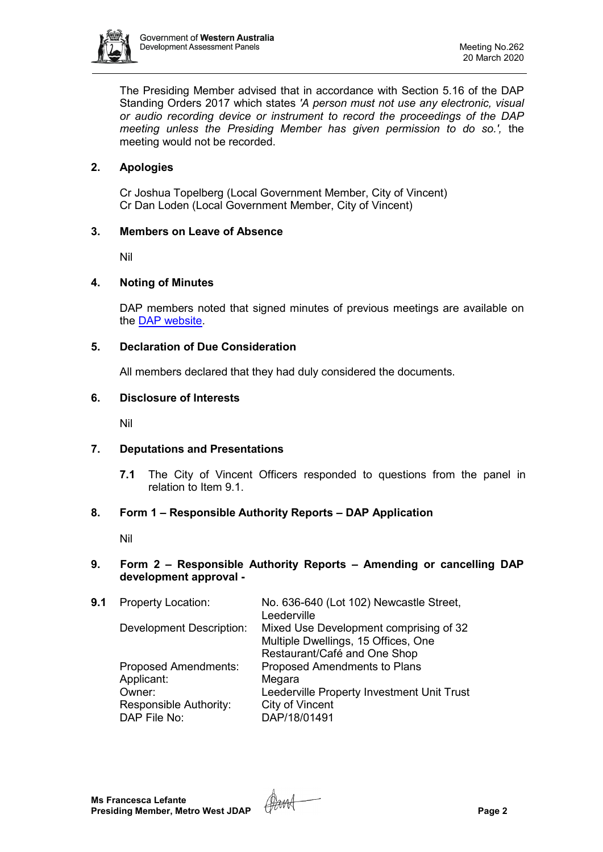

The Presiding Member advised that in accordance with Section 5.16 of the DAP Standing Orders 2017 which states *'A person must not use any electronic, visual or audio recording device or instrument to record the proceedings of the DAP meeting unless the Presiding Member has given permission to do so.',* the meeting would not be recorded.

# **2. Apologies**

Cr Joshua Topelberg (Local Government Member, City of Vincent) Cr Dan Loden (Local Government Member, City of Vincent)

# **3. Members on Leave of Absence**

Nil

#### **4. Noting of Minutes**

DAP members noted that signed minutes of previous meetings are available on the [DAP website.](https://www.dplh.wa.gov.au/about/development-assessment-panels/daps-agendas-and-minutes)

#### **5. Declaration of Due Consideration**

All members declared that they had duly considered the documents.

#### **6. Disclosure of Interests**

Nil

# **7. Deputations and Presentations**

**7.1** The City of Vincent Officers responded to questions from the panel in relation to Item 9.1.

# **8. Form 1 – Responsible Authority Reports – DAP Application**

Nil

#### **9. Form 2 – Responsible Authority Reports – Amending or cancelling DAP development approval -**

| Mixed Use Development comprising of 32<br>Multiple Dwellings, 15 Offices, One<br>Restaurant/Café and One Shop |
|---------------------------------------------------------------------------------------------------------------|
| Proposed Amendments to Plans                                                                                  |
| Leederville Property Investment Unit Trust                                                                    |
|                                                                                                               |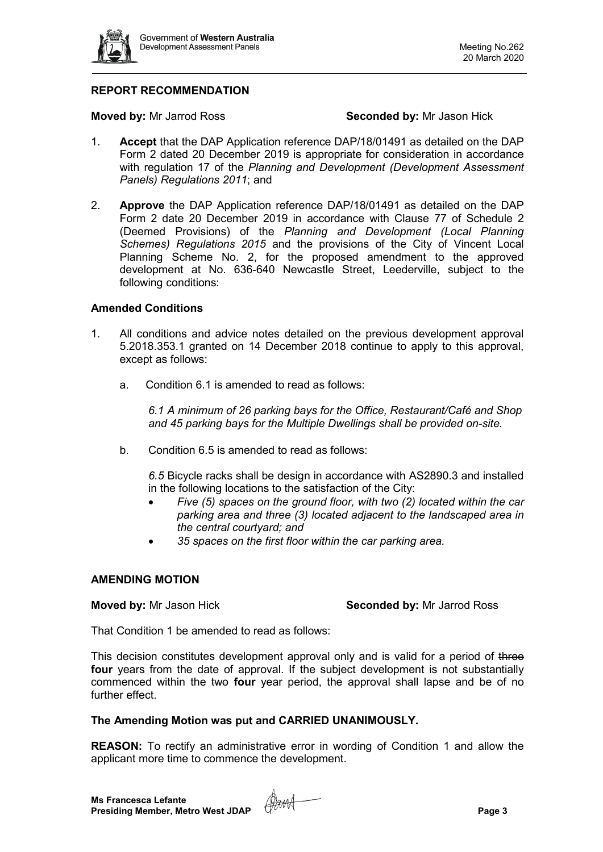

# **REPORT RECOMMENDATION**

**Moved by:** Mr Jarrod Ross **Seconded by:** Mr Jason Hick

- 1. **Accept** that the DAP Application reference DAP/18/01491 as detailed on the DAP Form 2 dated 20 December 2019 is appropriate for consideration in accordance with regulation 17 of the *Planning and Development (Development Assessment Panels) Regulations 2011*; and
- 2. **Approve** the DAP Application reference DAP/18/01491 as detailed on the DAP Form 2 date 20 December 2019 in accordance with Clause 77 of Schedule 2 (Deemed Provisions) of the *Planning and Development (Local Planning Schemes) Regulations 2015* and the provisions of the City of Vincent Local Planning Scheme No. 2, for the proposed amendment to the approved development at No. 636-640 Newcastle Street, Leederville, subject to the following conditions:

#### **Amended Conditions**

- 1. All conditions and advice notes detailed on the previous development approval 5.2018.353.1 granted on 14 December 2018 continue to apply to this approval, except as follows:
	- a. Condition 6.1 is amended to read as follows:

*6.1 A minimum of 26 parking bays for the Office, Restaurant/Café and Shop and 45 parking bays for the Multiple Dwellings shall be provided on-site.* 

b. Condition 6.5 is amended to read as follows:

*6.5* Bicycle racks shall be design in accordance with AS2890.3 and installed in the following locations to the satisfaction of the City:

- *Five (5) spaces on the ground floor, with two (2) located within the car parking area and three (3) located adjacent to the landscaped area in the central courtyard; and*
- *35 spaces on the first floor within the car parking area.*

#### **AMENDING MOTION**

**Moved by:** Mr Jason Hick **Seconded by:** Mr Jarrod Ross

That Condition 1 be amended to read as follows:

This decision constitutes development approval only and is valid for a period of three **four** years from the date of approval. If the subject development is not substantially commenced within the two four year period, the approval shall lapse and be of no further effect

#### **The Amending Motion was put and CARRIED UNANIMOUSLY.**

**REASON:** To rectify an administrative error in wording of Condition 1 and allow the applicant more time to commence the development.

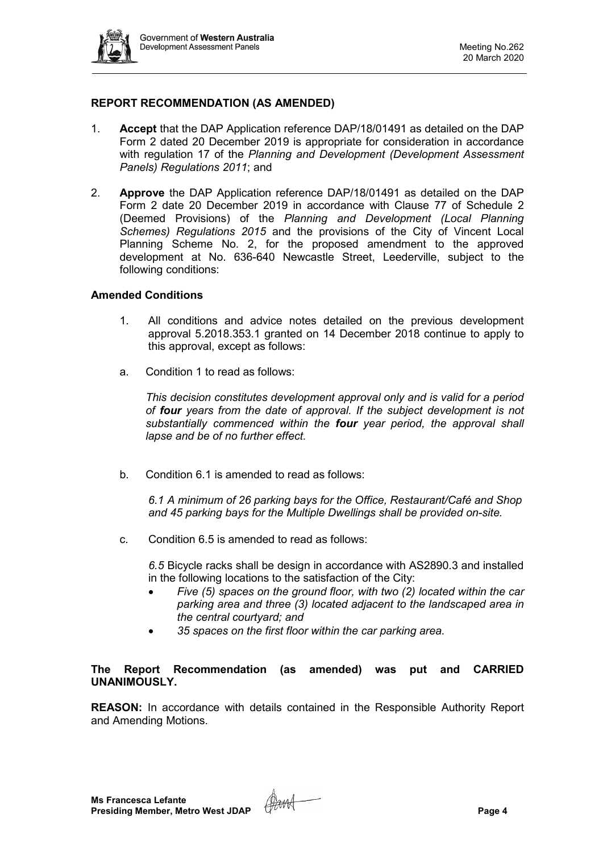

# **REPORT RECOMMENDATION (AS AMENDED)**

- 1. **Accept** that the DAP Application reference DAP/18/01491 as detailed on the DAP Form 2 dated 20 December 2019 is appropriate for consideration in accordance with regulation 17 of the *Planning and Development (Development Assessment Panels) Regulations 2011*; and
- 2. **Approve** the DAP Application reference DAP/18/01491 as detailed on the DAP Form 2 date 20 December 2019 in accordance with Clause 77 of Schedule 2 (Deemed Provisions) of the *Planning and Development (Local Planning Schemes) Regulations 2015* and the provisions of the City of Vincent Local Planning Scheme No. 2, for the proposed amendment to the approved development at No. 636-640 Newcastle Street, Leederville, subject to the following conditions:

#### **Amended Conditions**

- 1. All conditions and advice notes detailed on the previous development approval 5.2018.353.1 granted on 14 December 2018 continue to apply to this approval, except as follows:
- a. Condition 1 to read as follows:

*This decision constitutes development approval only and is valid for a period of four years from the date of approval. If the subject development is not substantially commenced within the four year period, the approval shall lapse and be of no further effect.* 

b. Condition 6.1 is amended to read as follows:

*6.1 A minimum of 26 parking bays for the Office, Restaurant/Café and Shop and 45 parking bays for the Multiple Dwellings shall be provided on-site.* 

c. Condition 6.5 is amended to read as follows:

*6.5* Bicycle racks shall be design in accordance with AS2890.3 and installed in the following locations to the satisfaction of the City:

- *Five (5) spaces on the ground floor, with two (2) located within the car parking area and three (3) located adjacent to the landscaped area in the central courtyard; and*
- *35 spaces on the first floor within the car parking area.*

# **The Report Recommendation (as amended) was put and CARRIED UNANIMOUSLY.**

**REASON:** In accordance with details contained in the Responsible Authority Report and Amending Motions.